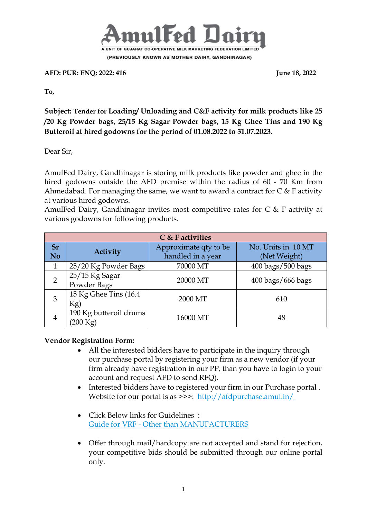

**AFD: PUR: ENQ: 2022: 416** June 18, 2022

**To,**

**Subject: Tender for Loading/ Unloading and C&F activity for milk products like 25 /20 Kg Powder bags, 25/15 Kg Sagar Powder bags, 15 Kg Ghee Tins and 190 Kg Butteroil at hired godowns for the period of 01.08.2022 to 31.07.2023.**

Dear Sir,

AmulFed Dairy, Gandhinagar is storing milk products like powder and ghee in the hired godowns outside the AFD premise within the radius of 60 - 70 Km from Ahmedabad. For managing the same, we want to award a contract for  $C \& F$  activity at various hired godowns.

AmulFed Dairy, Gandhinagar invites most competitive rates for C & F activity at various godowns for following products.

| C & F activities       |                                              |                                            |                                     |  |  |  |  |  |
|------------------------|----------------------------------------------|--------------------------------------------|-------------------------------------|--|--|--|--|--|
| <b>Sr</b><br><b>No</b> | Activity                                     | Approximate qty to be<br>handled in a year | No. Units in 10 MT<br>(Net Weight)  |  |  |  |  |  |
| 1                      | 25/20 Kg Powder Bags                         | 70000 MT                                   | 400 bags/500 bags                   |  |  |  |  |  |
| $\overline{2}$         | 25/15 Kg Sagar<br>Powder Bags                | 20000 MT                                   | $400 \text{ bags}/666 \text{ bags}$ |  |  |  |  |  |
| 3                      | 15 Kg Ghee Tins (16.4)<br>Kg)                | 2000 MT                                    | 610                                 |  |  |  |  |  |
| $\overline{4}$         | 190 Kg butteroil drums<br>$(200 \text{ Kg})$ | 16000 MT                                   | 48                                  |  |  |  |  |  |

**Vendor Registration Form:** 

- All the interested bidders have to participate in the inquiry through our purchase portal by registering your firm as a new vendor (if your firm already have registration in our PP, than you have to login to your account and request AFD to send RFQ).
- Interested bidders have to registered your firm in our Purchase portal . Website for our portal is as >>>: <http://afdpurchase.amul.in/>
- Click Below links for Guidelines : Guide for VRF - [Other than MANUFACTURERS](https://in-mum-m110.icewarpcloud.in/collaboration/#ticket=eJxNjMEOgjAQRL.GvaGlUNrLHgiKJ5WgeId2K0QFU8r,W24mM2.SSWaeKIyyvOcyVSYBi4dZrx.a,BKJsl6dHrqFIs7q2fnuDRorWP4mmsBhzJNMZoJJlQEhjJjzPBckUsmE3p,W0WwPdnaBj6YKjIODrn6grfRDN4U4F5e2Ksp72xyb2.5rLBhM4IVMEUuZlJp.VjQxZA__t&url=https%3A//amul.icewarpcloud.in/teamcha)
- Offer through mail/hardcopy are not accepted and stand for rejection, your competitive bids should be submitted through our online portal only.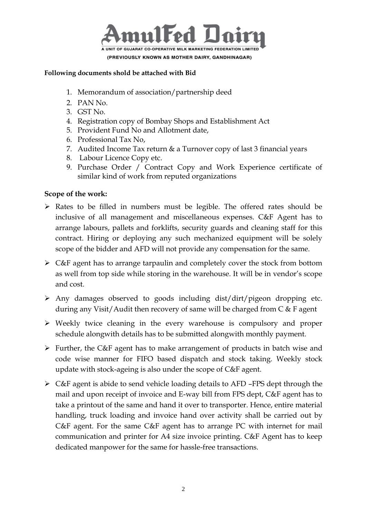

#### **Following documents shold be attached with Bid**

- 1. Memorandum of association/partnership deed
- 2. PAN No.
- 3. GST No.
- 4. Registration copy of Bombay Shops and Establishment Act
- 5. Provident Fund No and Allotment date,
- 6. Professional Tax No,
- 7. Audited Income Tax return & a Turnover copy of last 3 financial years
- 8. Labour Licence Copy etc.
- 9. Purchase Order / Contract Copy and Work Experience certificate of similar kind of work from reputed organizations

### **Scope of the work:**

- $\triangleright$  Rates to be filled in numbers must be legible. The offered rates should be inclusive of all management and miscellaneous expenses. C&F Agent has to arrange labours, pallets and forklifts, security guards and cleaning staff for this contract. Hiring or deploying any such mechanized equipment will be solely scope of the bidder and AFD will not provide any compensation for the same.
- $\triangleright$  C&F agent has to arrange tarpaulin and completely cover the stock from bottom as well from top side while storing in the warehouse. It will be in vendor's scope and cost.
- $\triangleright$  Any damages observed to goods including dist/dirt/pigeon dropping etc. during any Visit/Audit then recovery of same will be charged from C & F agent
- Weekly twice cleaning in the every warehouse is compulsory and proper schedule alongwith details has to be submitted alongwith monthly payment.
- $\triangleright$  Further, the C&F agent has to make arrangement of products in batch wise and code wise manner for FIFO based dispatch and stock taking. Weekly stock update with stock-ageing is also under the scope of C&F agent.
- C&F agent is abide to send vehicle loading details to AFD –FPS dept through the mail and upon receipt of invoice and E-way bill from FPS dept, C&F agent has to take a printout of the same and hand it over to transporter. Hence, entire material handling, truck loading and invoice hand over activity shall be carried out by C&F agent. For the same C&F agent has to arrange PC with internet for mail communication and printer for A4 size invoice printing. C&F Agent has to keep dedicated manpower for the same for hassle-free transactions.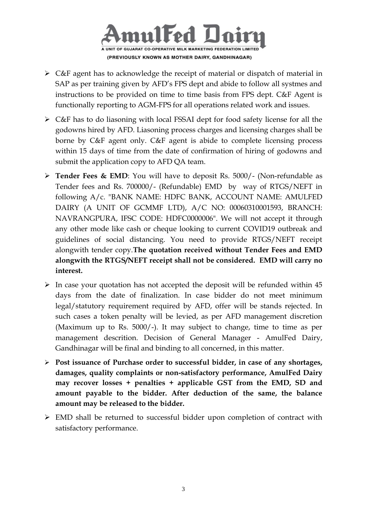

- $\triangleright$  C&F agent has to acknowledge the receipt of material or dispatch of material in SAP as per training given by AFD's FPS dept and abide to follow all systmes and instructions to be provided on time to time basis from FPS dept. C&F Agent is functionally reporting to AGM-FPS for all operations related work and issues.
- C&F has to do liasoning with local FSSAI dept for food safety license for all the godowns hired by AFD. Liasoning process charges and licensing charges shall be borne by C&F agent only. C&F agent is abide to complete licensing process within 15 days of time from the date of confirmation of hiring of godowns and submit the application copy to AFD QA team.
- **Tender Fees & EMD**: You will have to deposit Rs. 5000/- (Non-refundable as Tender fees and Rs. 700000/- (Refundable) EMD by way of RTGS/NEFT in following A/c. "BANK NAME: HDFC BANK, ACCOUNT NAME: AMULFED DAIRY (A UNIT OF GCMMF LTD), A/C NO: 00060310001593, BRANCH: NAVRANGPURA, IFSC CODE: HDFC0000006". We will not accept it through any other mode like cash or cheque looking to current COVID19 outbreak and guidelines of social distancing. You need to provide RTGS/NEFT receipt alongwith tender copy.**The quotation received without Tender Fees and EMD alongwith the RTGS/NEFT receipt shall not be considered. EMD will carry no interest.**
- $\triangleright$  In case your quotation has not accepted the deposit will be refunded within 45 days from the date of finalization. In case bidder do not meet minimum legal/statutory requirement required by AFD, offer will be stands rejected. In such cases a token penalty will be levied, as per AFD management discretion (Maximum up to Rs. 5000/-). It may subject to change, time to time as per management descrition. Decision of General Manager - AmulFed Dairy, Gandhinagar will be final and binding to all concerned, in this matter.
- **Post issuance of Purchase order to successful bidder, in case of any shortages, damages, quality complaints or non-satisfactory performance, AmulFed Dairy may recover losses + penalties + applicable GST from the EMD, SD and amount payable to the bidder. After deduction of the same, the balance amount may be released to the bidder.**
- EMD shall be returned to successful bidder upon completion of contract with satisfactory performance.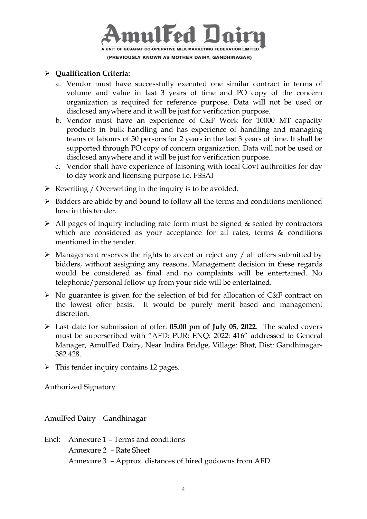

#### **Qualification Criteria:**

- a. Vendor must have successfully executed one similar contract in terms of volume and value in last 3 years of time and PO copy of the concern organization is required for reference purpose. Data will not be used or disclosed anywhere and it will be just for verification purpose.
- b. Vendor must have an experience of C&F Work for 10000 MT capacity products in bulk handling and has experience of handling and managing teams of labours of 50 persons for 2 years in the last 3 years of time. It shall be supported through PO copy of concern organization. Data will not be used or disclosed anywhere and it will be just for verification purpose.
- c. Vendor shall have experience of laisoning with local Govt authroities for day to day work and licensing purpose i.e. FSSAI
- $\triangleright$  Rewriting / Overwriting in the inquiry is to be avoided.
- $\triangleright$  Bidders are abide by and bound to follow all the terms and conditions mentioned here in this tender.
- $\triangleright$  All pages of inquiry including rate form must be signed & sealed by contractors which are considered as your acceptance for all rates, terms & conditions mentioned in the tender.
- $\triangleright$  Management reserves the rights to accept or reject any / all offers submitted by bidders, without assigning any reasons. Management decision in these regards would be considered as final and no complaints will be entertained. No telephonic/personal follow-up from your side will be entertained.
- $\triangleright$  No guarantee is given for the selection of bid for allocation of C&F contract on the lowest offer basis. It would be purely merit based and management discretion.
- Last date for submission of offer: **05.00 pm of July 05, 2022**. The sealed covers must be superscribed with "AFD: PUR: ENQ: 2022: 416" addressed to General Manager, AmulFed Dairy, Near Indira Bridge, Village: Bhat, Dist: Gandhinagar-382 428.
- $\triangleright$  This tender inquiry contains 12 pages.

Authorized Signatory

AmulFed Dairy – Gandhinagar

Encl: Annexure 1 – Terms and conditions Annexure 2 – Rate Sheet Annexure 3 – Approx. distances of hired godowns from AFD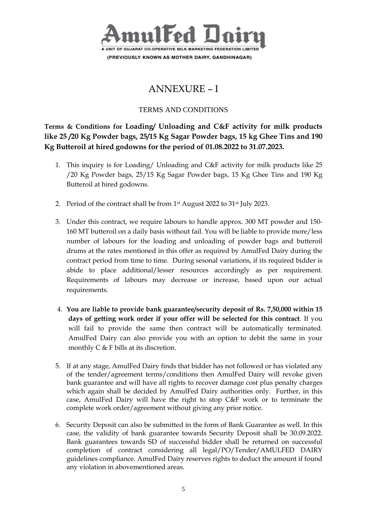

# ANNEXURE – I

### TERMS AND CONDITIONS

**Terms & Conditions for Loading/ Unloading and C&F activity for milk products like 25 /20 Kg Powder bags, 25/15 Kg Sagar Powder bags, 15 kg Ghee Tins and 190 Kg Butteroil at hired godowns for the period of 01.08.2022 to 31.07.2023.**

- 1. This inquiry is for Loading/ Unloading and C&F activity for milk products like 25 /20 Kg Powder bags, 25/15 Kg Sagar Powder bags, 15 Kg Ghee Tins and 190 Kg Butteroil at hired godowns.
- 2. Period of the contract shall be from 1<sup>st</sup> August 2022 to 31<sup>st</sup> July 2023.
- 3. Under this contract, we require labours to handle approx. 300 MT powder and 150- 160 MT butteroil on a daily basis without fail. You will be liable to provide more/less number of labours for the loading and unloading of powder bags and butteroil drums at the rates mentioned in this offer as required by AmulFed Dairy during the contract period from time to time. During sesonal variations, if its required bidder is abide to place additional/lesser resources accordingly as per requirement. Requirements of labours may decrease or increase, based upon our actual requirements.
- 4. **You are liable to provide bank guarantee/security deposit of Rs. 7,50,000 within 15 days of getting work order if your offer will be selected for this contract**. If you will fail to provide the same then contract will be automatically terminated. AmulFed Dairy can also provide you with an option to debit the same in your monthly C & F bills at its discretion.
- 5. If at any stage, AmulFed Dairy finds that bidder has not followed or has violated any of the tender/agreement terms/conditions then AmulFed Dairy will revoke given bank guarantee and will have all rights to recover damage cost plus penalty charges which again shall be decided by AmulFed Dairy authorities only. Further, in this case, AmulFed Dairy will have the right to stop C&F work or to terminate the complete work order/agreement without giving any prior notice.
- 6. Security Deposit can also be submitted in the form of Bank Guarantee as well. In this case, the validity of bank guarantee towards Security Deposit shall be 30.09.2022. Bank guarantees towards SD of successful bidder shall be returned on successful completion of contract considering all legal/PO/Tender/AMULFED DAIRY guidelines compliance. AmulFed Dairy reserves rights to deduct the amount if found any violation in abovementioned areas.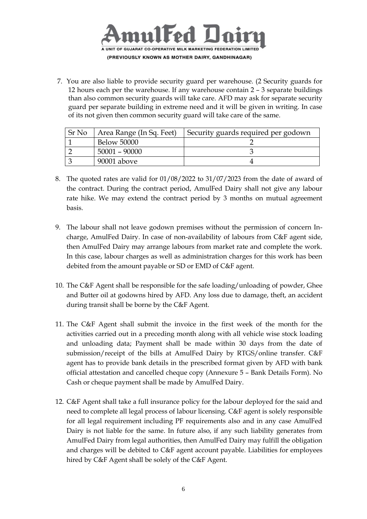

7. You are also liable to provide security guard per warehouse. (2 Security guards for 12 hours each per the warehouse. If any warehouse contain 2 – 3 separate buildings than also common security guards will take care. AFD may ask for separate security guard per separate building in extreme need and it will be given in writing. In case of its not given then common security guard will take care of the same.

| Sr No | Area Range (In Sq. Feet) | Security guards required per godown |
|-------|--------------------------|-------------------------------------|
|       | <b>Below 50000</b>       |                                     |
|       | $50001 - 90000$          |                                     |
|       | 90001 above              |                                     |

- 8. The quoted rates are valid for 01/08/2022 to 31/07/2023 from the date of award of the contract. During the contract period, AmulFed Dairy shall not give any labour rate hike. We may extend the contract period by 3 months on mutual agreement basis.
- 9. The labour shall not leave godown premises without the permission of concern Incharge, AmulFed Dairy. In case of non-availability of labours from C&F agent side, then AmulFed Dairy may arrange labours from market rate and complete the work. In this case, labour charges as well as administration charges for this work has been debited from the amount payable or SD or EMD of C&F agent.
- 10. The C&F Agent shall be responsible for the safe loading/unloading of powder, Ghee and Butter oil at godowns hired by AFD. Any loss due to damage, theft, an accident during transit shall be borne by the C&F Agent.
- 11. The C&F Agent shall submit the invoice in the first week of the month for the activities carried out in a preceding month along with all vehicle wise stock loading and unloading data; Payment shall be made within 30 days from the date of submission/receipt of the bills at AmulFed Dairy by RTGS/online transfer. C&F agent has to provide bank details in the prescribed format given by AFD with bank official attestation and cancelled cheque copy (Annexure 5 – Bank Details Form). No Cash or cheque payment shall be made by AmulFed Dairy.
- 12. C&F Agent shall take a full insurance policy for the labour deployed for the said and need to complete all legal process of labour licensing. C&F agent is solely responsible for all legal requirement including PF requirements also and in any case AmulFed Dairy is not liable for the same. In future also, if any such liability generates from AmulFed Dairy from legal authorities, then AmulFed Dairy may fulfill the obligation and charges will be debited to C&F agent account payable. Liabilities for employees hired by C&F Agent shall be solely of the C&F Agent.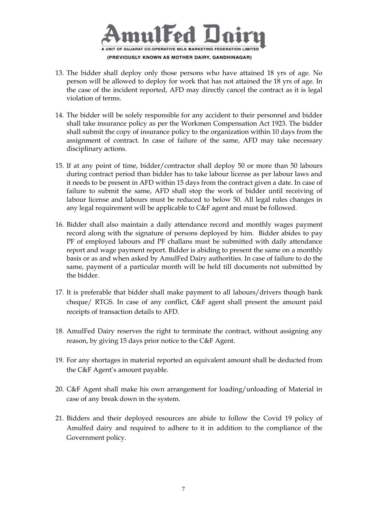

- 13. The bidder shall deploy only those persons who have attained 18 yrs of age. No person will be allowed to deploy for work that has not attained the 18 yrs of age. In the case of the incident reported, AFD may directly cancel the contract as it is legal violation of terms.
- 14. The bidder will be solely responsible for any accident to their personnel and bidder shall take insurance policy as per the Workmen Compensation Act 1923. The bidder shall submit the copy of insurance policy to the organization within 10 days from the assignment of contract. In case of failure of the same, AFD may take necessary disciplinary actions.
- 15. If at any point of time, bidder/contractor shall deploy 50 or more than 50 labours during contract period than bidder has to take labour license as per labour laws and it needs to be present in AFD within 15 days from the contract given a date. In case of failure to submit the same, AFD shall stop the work of bidder until receiving of labour license and labours must be reduced to below 50. All legal rules changes in any legal requirement will be applicable to C&F agent and must be followed.
- 16. Bidder shall also maintain a daily attendance record and monthly wages payment record along with the signature of persons deployed by him. Bidder abides to pay PF of employed labours and PF challans must be submitted with daily attendance report and wage payment report. Bidder is abiding to present the same on a monthly basis or as and when asked by AmulFed Dairy authorities. In case of failure to do the same, payment of a particular month will be held till documents not submitted by the bidder.
- 17. It is preferable that bidder shall make payment to all labours/drivers though bank cheque/ RTGS. In case of any conflict, C&F agent shall present the amount paid receipts of transaction details to AFD.
- 18. AmulFed Dairy reserves the right to terminate the contract, without assigning any reason, by giving 15 days prior notice to the C&F Agent.
- 19. For any shortages in material reported an equivalent amount shall be deducted from the C&F Agent's amount payable.
- 20. C&F Agent shall make his own arrangement for loading/unloading of Material in case of any break down in the system.
- 21. Bidders and their deployed resources are abide to follow the Covid 19 policy of Amulfed dairy and required to adhere to it in addition to the compliance of the Government policy.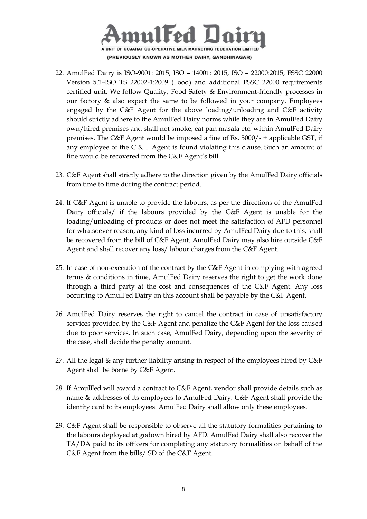

- 22. AmulFed Dairy is ISO-9001: 2015, ISO 14001: 2015, ISO 22000:2015, FSSC 22000 Version 5.1–ISO TS 22002-1:2009 (Food) and additional FSSC 22000 requirements certified unit. We follow Quality, Food Safety & Environment-friendly processes in our factory  $\&$  also expect the same to be followed in your company. Employees engaged by the C&F Agent for the above loading/unloading and C&F activity should strictly adhere to the AmulFed Dairy norms while they are in AmulFed Dairy own/hired premises and shall not smoke, eat pan masala etc. within AmulFed Dairy premises. The C&F Agent would be imposed a fine of Rs. 5000/- + applicable GST, if any employee of the C & F Agent is found violating this clause. Such an amount of fine would be recovered from the C&F Agent's bill.
- 23. C&F Agent shall strictly adhere to the direction given by the AmulFed Dairy officials from time to time during the contract period.
- 24. If C&F Agent is unable to provide the labours, as per the directions of the AmulFed Dairy officials/ if the labours provided by the C&F Agent is unable for the loading/unloading of products or does not meet the satisfaction of AFD personnel for whatsoever reason, any kind of loss incurred by AmulFed Dairy due to this, shall be recovered from the bill of C&F Agent. AmulFed Dairy may also hire outside C&F Agent and shall recover any loss/ labour charges from the C&F Agent.
- 25. In case of non-execution of the contract by the C&F Agent in complying with agreed terms & conditions in time, AmulFed Dairy reserves the right to get the work done through a third party at the cost and consequences of the C&F Agent. Any loss occurring to AmulFed Dairy on this account shall be payable by the C&F Agent.
- 26. AmulFed Dairy reserves the right to cancel the contract in case of unsatisfactory services provided by the C&F Agent and penalize the C&F Agent for the loss caused due to poor services. In such case, AmulFed Dairy, depending upon the severity of the case, shall decide the penalty amount.
- 27. All the legal  $\&$  any further liability arising in respect of the employees hired by  $C\&F$ Agent shall be borne by C&F Agent.
- 28. If AmulFed will award a contract to C&F Agent, vendor shall provide details such as name & addresses of its employees to AmulFed Dairy. C&F Agent shall provide the identity card to its employees. AmulFed Dairy shall allow only these employees.
- 29. C&F Agent shall be responsible to observe all the statutory formalities pertaining to the labours deployed at godown hired by AFD. AmulFed Dairy shall also recover the TA/DA paid to its officers for completing any statutory formalities on behalf of the C&F Agent from the bills/ SD of the C&F Agent.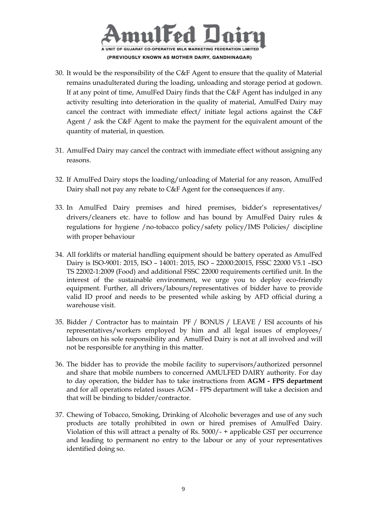

- 30. It would be the responsibility of the C&F Agent to ensure that the quality of Material remains unadulterated during the loading, unloading and storage period at godown. If at any point of time, AmulFed Dairy finds that the C&F Agent has indulged in any activity resulting into deterioration in the quality of material, AmulFed Dairy may cancel the contract with immediate effect/ initiate legal actions against the C&F Agent / ask the C&F Agent to make the payment for the equivalent amount of the quantity of material, in question.
- 31. AmulFed Dairy may cancel the contract with immediate effect without assigning any reasons.
- 32. If AmulFed Dairy stops the loading/unloading of Material for any reason, AmulFed Dairy shall not pay any rebate to C&F Agent for the consequences if any.
- 33. In AmulFed Dairy premises and hired premises, bidder's representatives/ drivers/cleaners etc. have to follow and has bound by AmulFed Dairy rules & regulations for hygiene /no-tobacco policy/safety policy/IMS Policies/ discipline with proper behaviour
- 34. All forklifts or material handling equipment should be battery operated as AmulFed Dairy is ISO-9001: 2015, ISO – 14001: 2015, ISO – 22000:20015, FSSC 22000 V5.1 –ISO TS 22002-1:2009 (Food) and additional FSSC 22000 requirements certified unit. In the interest of the sustainable environment, we urge you to deploy eco-friendly equipment. Further, all drivers/labours/representatives of bidder have to provide valid ID proof and needs to be presented while asking by AFD official during a warehouse visit.
- 35. Bidder / Contractor has to maintain PF / BONUS / LEAVE / ESI accounts of his representatives/workers employed by him and all legal issues of employees/ labours on his sole responsibility and AmulFed Dairy is not at all involved and will not be responsible for anything in this matter.
- 36. The bidder has to provide the mobile facility to supervisors/authorized personnel and share that mobile numbers to concerned AMULFED DAIRY authority. For day to day operation, the bidder has to take instructions from **AGM - FPS department** and for all operations related issues AGM - FPS department will take a decision and that will be binding to bidder/contractor.
- 37. Chewing of Tobacco, Smoking, Drinking of Alcoholic beverages and use of any such products are totally prohibited in own or hired premises of AmulFed Dairy. Violation of this will attract a penalty of Rs. 5000/- + applicable GST per occurrence and leading to permanent no entry to the labour or any of your representatives identified doing so.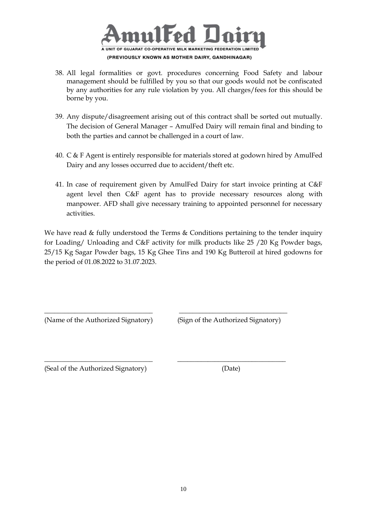

- 38. All legal formalities or govt. procedures concerning Food Safety and labour management should be fulfilled by you so that our goods would not be confiscated by any authorities for any rule violation by you. All charges/fees for this should be borne by you.
- 39. Any dispute/disagreement arising out of this contract shall be sorted out mutually. The decision of General Manager – AmulFed Dairy will remain final and binding to both the parties and cannot be challenged in a court of law.
- 40. C & F Agent is entirely responsible for materials stored at godown hired by AmulFed Dairy and any losses occurred due to accident/theft etc.
- 41. In case of requirement given by AmulFed Dairy for start invoice printing at C&F agent level then C&F agent has to provide necessary resources along with manpower. AFD shall give necessary training to appointed personnel for necessary activities.

We have read & fully understood the Terms & Conditions pertaining to the tender inquiry for Loading/ Unloading and C&F activity for milk products like 25 /20 Kg Powder bags, 25/15 Kg Sagar Powder bags, 15 Kg Ghee Tins and 190 Kg Butteroil at hired godowns for the period of 01.08.2022 to 31.07.2023.

\_\_\_\_\_\_\_\_\_\_\_\_\_\_\_\_\_\_\_\_\_\_\_\_\_\_\_\_\_\_\_\_ \_\_\_\_\_\_\_\_\_\_\_\_\_\_\_\_\_\_\_\_\_\_\_\_\_\_\_\_\_\_\_\_

\_\_\_\_\_\_\_\_\_\_\_\_\_\_\_\_\_\_\_\_\_\_\_\_\_\_\_\_\_\_\_\_ \_\_\_\_\_\_\_\_\_\_\_\_\_\_\_\_\_\_\_\_\_\_\_\_\_\_\_\_\_\_\_\_

(Name of the Authorized Signatory) (Sign of the Authorized Signatory)

(Seal of the Authorized Signatory) (Date)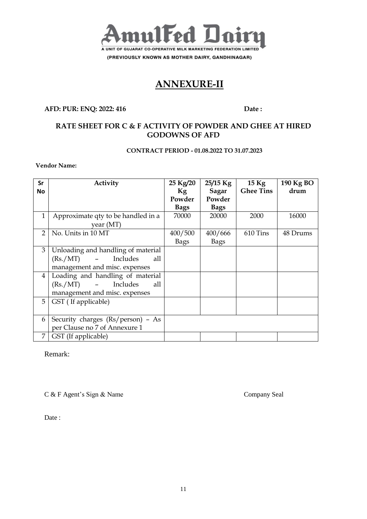

(PREVIOUSLY KNOWN AS MOTHER DAIRY, GANDHINAGAR)

## **ANNEXURE-II**

#### **AFD: PUR: ENQ: 2022: 416** Date :

## **RATE SHEET FOR C & F ACTIVITY OF POWDER AND GHEE AT HIRED GODOWNS OF AFD**

#### **CONTRACT PERIOD - 01.08.2022 TO 31.07.2023**

#### **Vendor Name:**

| Sr             | Activity                           | 25 Kg/20    | $25/15$ Kg  | $15$ Kg          | 190 Kg BO |
|----------------|------------------------------------|-------------|-------------|------------------|-----------|
| <b>No</b>      |                                    | Kg          | Sagar       | <b>Ghee Tins</b> | drum      |
|                |                                    | Powder      | Powder      |                  |           |
|                |                                    | <b>Bags</b> | <b>Bags</b> |                  |           |
| $\mathbf{1}$   | Approximate qty to be handled in a | 70000       | 20000       | 2000             | 16000     |
|                | year $(MT)$                        |             |             |                  |           |
| $\overline{2}$ | No. Units in 10 MT                 | 400/500     | 400/666     | 610 Tins         | 48 Drums  |
|                |                                    | Bags        | <b>Bags</b> |                  |           |
| 3              | Unloading and handling of material |             |             |                  |           |
|                | (Rs./MT)<br>Includes<br>all<br>$-$ |             |             |                  |           |
|                | management and misc. expenses      |             |             |                  |           |
| $\overline{4}$ | Loading and handling of material   |             |             |                  |           |
|                | - Includes<br>(Rs./MT)<br>all      |             |             |                  |           |
|                | management and misc. expenses      |             |             |                  |           |
| 5              | GST (If applicable)                |             |             |                  |           |
|                |                                    |             |             |                  |           |
| 6              | Security charges (Rs/person) - As  |             |             |                  |           |
|                | per Clause no 7 of Annexure 1      |             |             |                  |           |
| 7              | GST (If applicable)                |             |             |                  |           |

Remark:

C & F Agent's Sign & Name Company Seal

Date :